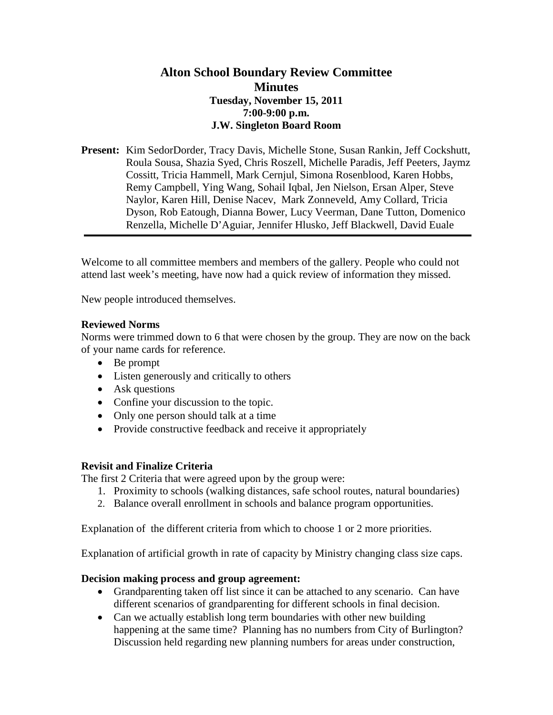## **Alton School Boundary Review Committee Minutes Tuesday, November 15, 2011 7:00-9:00 p.m. J.W. Singleton Board Room**

**Present:** Kim SedorDorder, Tracy Davis, Michelle Stone, Susan Rankin, Jeff Cockshutt, Roula Sousa, Shazia Syed, Chris Roszell, Michelle Paradis, Jeff Peeters, Jaymz Cossitt, Tricia Hammell, Mark Cernjul, Simona Rosenblood, Karen Hobbs, Remy Campbell, Ying Wang, Sohail Iqbal, Jen Nielson, Ersan Alper, Steve Naylor, Karen Hill, Denise Nacev, Mark Zonneveld, Amy Collard, Tricia Dyson, Rob Eatough, Dianna Bower, Lucy Veerman, Dane Tutton, Domenico Renzella, Michelle D'Aguiar, Jennifer Hlusko, Jeff Blackwell, David Euale

Welcome to all committee members and members of the gallery. People who could not attend last week's meeting, have now had a quick review of information they missed.

New people introduced themselves.

### **Reviewed Norms**

Norms were trimmed down to 6 that were chosen by the group. They are now on the back of your name cards for reference.

- Be prompt
- Listen generously and critically to others
- Ask questions
- Confine your discussion to the topic.
- Only one person should talk at a time
- Provide constructive feedback and receive it appropriately

#### **Revisit and Finalize Criteria**

The first 2 Criteria that were agreed upon by the group were:

- 1. Proximity to schools (walking distances, safe school routes, natural boundaries)
- 2. Balance overall enrollment in schools and balance program opportunities.

Explanation of the different criteria from which to choose 1 or 2 more priorities.

Explanation of artificial growth in rate of capacity by Ministry changing class size caps.

#### **Decision making process and group agreement:**

- Grandparenting taken off list since it can be attached to any scenario. Can have different scenarios of grandparenting for different schools in final decision.
- Can we actually establish long term boundaries with other new building happening at the same time? Planning has no numbers from City of Burlington? Discussion held regarding new planning numbers for areas under construction,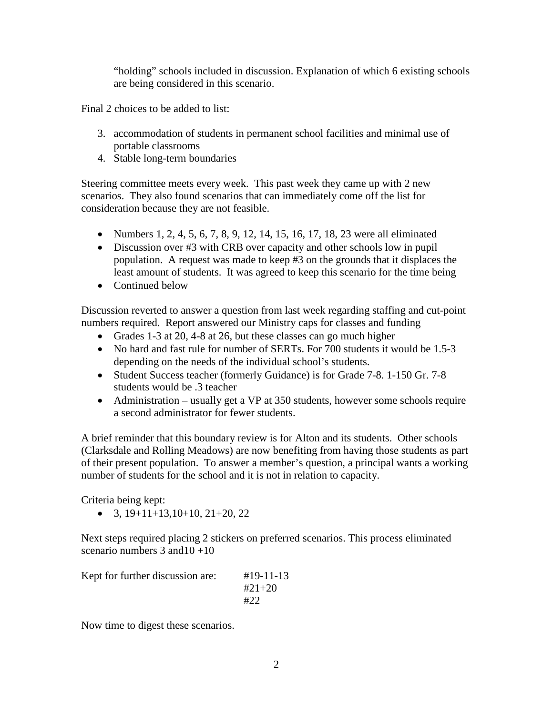"holding" schools included in discussion. Explanation of which 6 existing schools are being considered in this scenario.

Final 2 choices to be added to list:

- 3. accommodation of students in permanent school facilities and minimal use of portable classrooms
- 4. Stable long-term boundaries

Steering committee meets every week. This past week they came up with 2 new scenarios. They also found scenarios that can immediately come off the list for consideration because they are not feasible.

- Numbers 1, 2, 4, 5, 6, 7, 8, 9, 12, 14, 15, 16, 17, 18, 23 were all eliminated
- Discussion over #3 with CRB over capacity and other schools low in pupil population. A request was made to keep #3 on the grounds that it displaces the least amount of students. It was agreed to keep this scenario for the time being
- Continued below

Discussion reverted to answer a question from last week regarding staffing and cut-point numbers required. Report answered our Ministry caps for classes and funding

- Grades 1-3 at 20, 4-8 at 26, but these classes can go much higher
- No hard and fast rule for number of SERTs. For 700 students it would be 1.5-3 depending on the needs of the individual school's students.
- Student Success teacher (formerly Guidance) is for Grade 7-8. 1-150 Gr. 7-8 students would be .3 teacher
- Administration usually get a VP at 350 students, however some schools require a second administrator for fewer students.

A brief reminder that this boundary review is for Alton and its students. Other schools (Clarksdale and Rolling Meadows) are now benefiting from having those students as part of their present population. To answer a member's question, a principal wants a working number of students for the school and it is not in relation to capacity.

Criteria being kept:

• 3,  $19+11+13$ ,  $10+10$ ,  $21+20$ ,  $22$ 

Next steps required placing 2 stickers on preferred scenarios. This process eliminated scenario numbers  $3$  and  $10 + 10$ 

| Kept for further discussion are: | $\#19 - 11 - 13$ |
|----------------------------------|------------------|
|                                  | $#21 + 20$       |
|                                  | #22              |

Now time to digest these scenarios.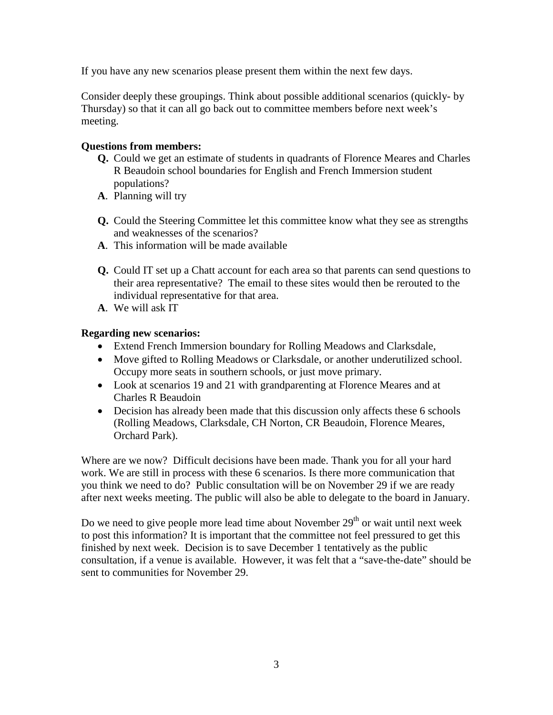If you have any new scenarios please present them within the next few days.

Consider deeply these groupings. Think about possible additional scenarios (quickly- by Thursday) so that it can all go back out to committee members before next week's meeting.

## **Questions from members:**

- **Q.** Could we get an estimate of students in quadrants of Florence Meares and Charles R Beaudoin school boundaries for English and French Immersion student populations?
- **A**. Planning will try
- **Q.** Could the Steering Committee let this committee know what they see as strengths and weaknesses of the scenarios?
- **A**. This information will be made available
- **Q.** Could IT set up a Chatt account for each area so that parents can send questions to their area representative? The email to these sites would then be rerouted to the individual representative for that area.
- **A**. We will ask IT

## **Regarding new scenarios:**

- Extend French Immersion boundary for Rolling Meadows and Clarksdale,
- Move gifted to Rolling Meadows or Clarksdale, or another underutilized school. Occupy more seats in southern schools, or just move primary.
- Look at scenarios 19 and 21 with grandparenting at Florence Meares and at Charles R Beaudoin
- Decision has already been made that this discussion only affects these 6 schools (Rolling Meadows, Clarksdale, CH Norton, CR Beaudoin, Florence Meares, Orchard Park).

Where are we now? Difficult decisions have been made. Thank you for all your hard work. We are still in process with these 6 scenarios. Is there more communication that you think we need to do? Public consultation will be on November 29 if we are ready after next weeks meeting. The public will also be able to delegate to the board in January.

Do we need to give people more lead time about November  $29<sup>th</sup>$  or wait until next week to post this information? It is important that the committee not feel pressured to get this finished by next week. Decision is to save December 1 tentatively as the public consultation, if a venue is available. However, it was felt that a "save-the-date" should be sent to communities for November 29.